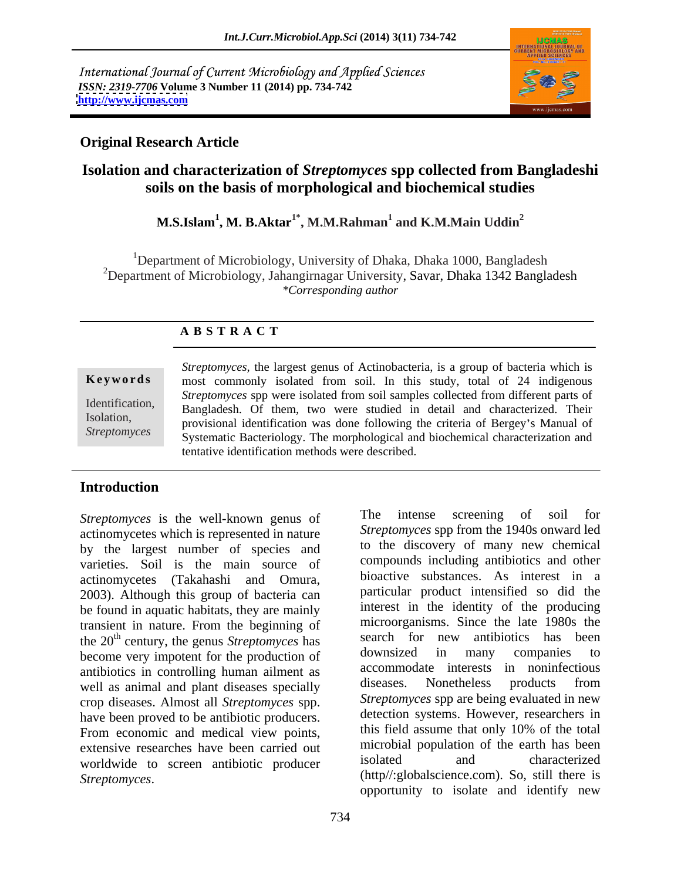International Journal of Current Microbiology and Applied Sciences *ISSN: 2319-7706* **Volume 3 Number 11 (2014) pp. 734-742 <http://www.ijcmas.com>**



### **Original Research Article**

# **Isolation and characterization of** *Streptomyces* **spp collected from Bangladeshi soils on the basis of morphological and biochemical studies**

### $\mathbf{M.S.}$ Islam $^1$ ,  $\mathbf{M. B.}$ Aktar $^{1^*}$ ,  $\mathbf{M.} \mathbf{M.}$ Rahman $^1$  and  $\mathbf{K.} \mathbf{M.}$ Main Uddin $^2$ **and K.M.Main Uddin<sup>2</sup>**

<sup>1</sup>Department of Microbiology, University of Dhaka, Dhaka 1000, Bangladesh <sup>2</sup>Department of Microbiology, Jahangirnagar University, Savar, Dhaka 1342 Bangladesh *\*Corresponding author* 

## **A B S T R A C T**

**Keywords** most commonly isolated from soil. In this study, total of 24 indigenous Identification, Bangladesh. Of them, two were studied in detail and characterized. Their Isolation,<br>
provisional identification was done following the criteria of Bergey's Manual of Streptomyces<br>
Systematic Bacteriology. The morphological and biochemical characterization and *Streptomyces,* the largest genus of Actinobacteria, is a group of bacteria which is *Streptomyces* spp were isolated from soil samples collected from different parts of tentative identification methods were described.

### **Introduction**

actinomycetes which is represented in nature by the largest number of species and varieties. Soil is the main source of actinomycetes (Takahashi and Omura, 2003). Although this group of bacteria can be found in aquatic habitats, they are mainly transient in nature. From the beginning of become very impotent for the production of downsized in many companies to antibiotics in controlling human ailment as accommodate interests in noninfectious<br>well as animal and plant diseases possibly diseases. Nonetheless products from well as animal and plant diseases specially crop diseases. Almost all *Streptomyces* spp. have been proved to be antibiotic producers.<br>
From economic and medical view points this field assume that only 10% of the total From economic and medical view points, extensive researches have been carried out microbial population of the earth has been<br>worldwide to earen ontihictie producer isolated and characterized worldwide to screen antibiotic producer

*Streptomyces* is the well-known genus of The intense screening of soil for the 20<sup>th</sup> century, the genus *Streptomyces* has search for new antibiotics has been <sup>th</sup> century the genus *Streptomyces* has search for new antibiotics has been *Streptomyces* is the well-known genus of The intense screening of soil for sugget numerals of the large and to the discovery spectrom the 1940s onward led by the largest number of species and to the discovery of many new *Streptomyces* spp from the 1940s onward led to the discovery of many new chemical compounds including antibiotics and other bioactive substances. As interest in a particular product intensified so did the interest in the identity of the producing microorganisms. Since the late 1980s the downsized in many companies to accommodate interests in noninfectious diseases. Nonetheless products from *Streptomyces* spp are being evaluated in new detection systems. However, researchers in this field assume that only 10% of the total microbial population of the earth has been isolated and characterized (http//:globalscience.com). So, still there is opportunity to isolate and identify new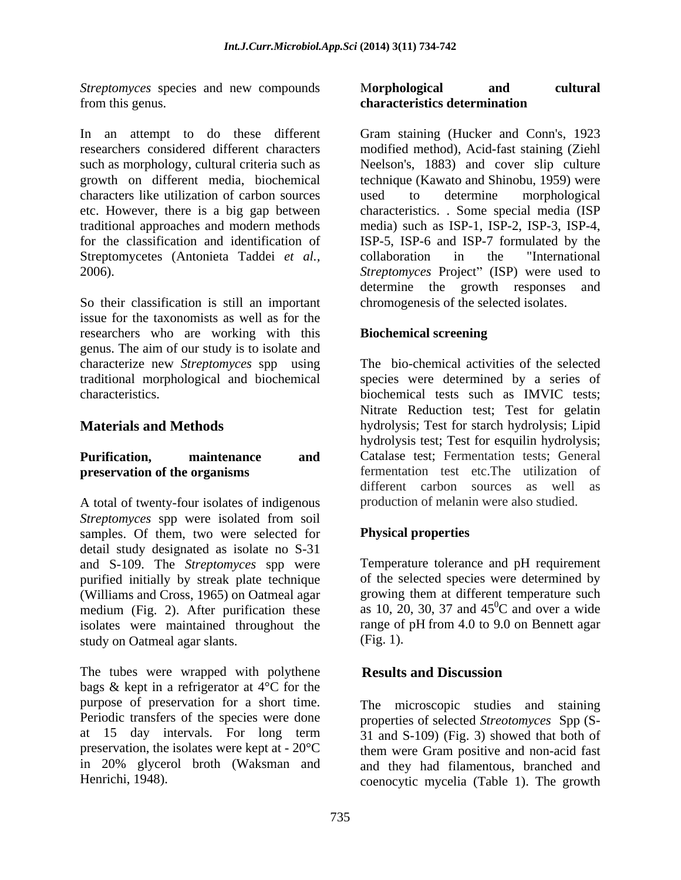*Streptomyces* species and new compounds **Morphological and cultural** from this genus. The contraction of the contraction of the characteristics determination

characters like utilization of carbon sources Streptomycetes (Antonieta Taddei *et al.*, collaboration in the "International"

So their classification is still an important issue for the taxonomists as well as for the researchers who are working with this **Biochemical screening** genus. The aim of our study is to isolate and characterize new *Streptomyces* spp using

A total of twenty-four isolates of indigenous *Streptomyces* spp were isolated from soil samples. Of them, two were selected for detail study designated as isolate no S-31 and S-109. The *Streptomyces* spp were purified initially by streak plate technique (Williams and Cross, 1965) on Oatmeal agar medium (Fig. 2). After purification these isolates were maintained throughout the study on Oatmeal agar slants. (Fig. 1).

The tubes were wrapped with polythene **Results and Discussion** bags & kept in a refrigerator at 4°C for the purpose of preservation for a short time. The microscopic studies and staining Periodic transfers of the species were done at 15 day intervals. For long term 31 and S-109) (Fig. 3) showed that both of preservation, the isolates were kept at  $-20^{\circ}\text{C}$  them were Gram positive and non-acid fast in 20% glycerol broth (Waksman and and they had filamentous, branched and

### M**orphological and cultural characteristics determination**

In an attempt to do these different Gram staining (Hucker and Conn's, 1923 researchers considered different characters modified method), Acid-fast staining (Ziehl such as morphology, cultural criteria such as Neelson's, 1883) and cover slip culture growth on different media, biochemical technique (Kawato and Shinobu, 1959) were etc. However, there is a big gap between characteristics. . Some special media (ISP traditional approaches and modern methods media) such as ISP-1, ISP-2, ISP-3, ISP-4, for the classification and identification of ISP-5, ISP-6 and ISP-7 formulated by the 2006). Streptomyces Project" (ISP) were used to used to determine morphological collaboration in the "International determine the growth responses and chromogenesis of the selected isolates.

### **Biochemical screening**

traditional morphological and biochemical species were determined by a series of characteristics. biochemical tests such as IMVIC tests; **Materials and Methods** hydrolysis; Test for starch hydrolysis; Lipid **Purification, maintenance and** Catalase test; Fermentation tests; General **preservation of the organisms** fermentation test etc. The utilization of The bio-chemical activities of the selected Nitrate Reduction test; Test for gelatin hydrolysis test; Test for esquilin hydrolysis; different carbon sources as well as production of melanin were also studied.

## **Physical properties**

Temperature tolerance and pH requirement of the selected species were determined by growing them at different temperature such as 10, 20, 30, 37 and  $45^{\circ}$ C and over a wide  ${}^{0}C$  and over a wide range of pH from 4.0 to 9.0 on Bennett agar (Fig. 1).

### **Results and Discussion**

Henrichi, 1948). coenocytic mycelia (Table 1). The growthproperties of selected *Streotomyces* Spp (S-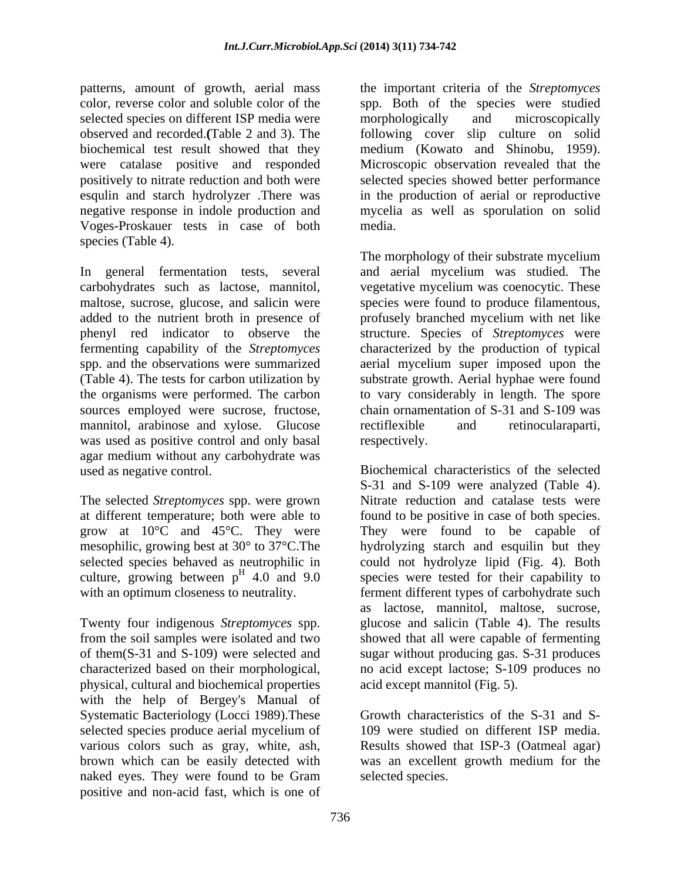patterns, amount of growth, aerial mass color, reverse color and soluble color of the spp. Both of the species were studied selected species on different ISP media were morphologically and microscopically observed and recorded.**(**Table 2 and 3). The following cover slip culture on solid biochemical test result showed that they were catalase positive and responded Microscopic observation revealed that the positively to nitrate reduction and both were selected species showed better performance esqulin and starch hydrolyzer .There was in the production of aerial or reproductive negative response in indole production and mycelia as well as sporulation on solid Voges-Proskauer tests in case of both species (Table 4).

mannitol, arabinose and xylose. Glucose rectifiexible and retinocularaparti, was used as positive control and only basal respectively. agar medium without any carbohydrate was

physical, cultural and biochemical properties with the help of Bergey's Manual of Systematic Bacteriology (Locci 1989). These Growth characteristics of the S-31 and Sselected species produce aerial mycelium of various colors such as gray, white, ash, Results showed that ISP-3 (Oatmeal agar) brown which can be easily detected with was an excellent growth medium for the naked eyes. They were found to be Gram positive and non-acid fast, which is one of

the important criteria of the *Streptomyces* morphologically and microscopically medium (Kowato and Shinobu, 1959). media.

In general fermentation tests, several and aerial mycelium was studied. The carbohydrates such as lactose, mannitol, vegetative mycelium was coenocytic. These maltose, sucrose, glucose, and salicin were species were found to produce filamentous, added to the nutrient broth in presence of profusely branched mycelium with net like phenyl red indicator to observe the structure. Species of *Streptomyces* were fermenting capability of the *Streptomyces* characterized by the production of typical spp. and the observations were summarized aerial mycelium super imposed upon the (Table 4). The tests for carbon utilization by substrate growth. Aerial hyphae were found the organisms were performed. The carbon to vary considerably in length. The spore sources employed were sucrose, fructose, chain ornamentation of S-31 and S-109 was The morphology of their substrate mycelium rectiflexible and retinocularaparti, respectively.

used as negative control. Biochemical characteristics of the selected The selected *Streptomyces* spp. were grown Nitrate reduction and catalase tests were at different temperature; both were able to found to be positive in case of both species. grow at 10°C and 45°C. They were They were found to be capable of mesophilic, growing best at 30° to 37°C.The hydrolyzing starch and esquilin but they selected species behaved as neutrophilic in could not hydrolyze lipid (Fig. 4). Both culture, growing between  $p^H$  4.0 and 9.0 species were tested for their capability to with an optimum closeness to neutrality. ferment different types of carbohydrate such Twenty four indigenous *Streptomyces* spp. glucose and salicin (Table 4). The results from the soil samples were isolated and two showed that all were capable of fermenting of them(S-31 and S-109) were selected and sugar without producing gas. S-31 produces characterized based on their morphological, no acid except lactose; S-109 produces no S-31 and S-109 were analyzed (Table 4). as lactose, mannitol, maltose, sucrose,

acid except mannitol (Fig. 5). Growth characteristics of the S-31 and S- 109 were studied on different ISP media. selected species.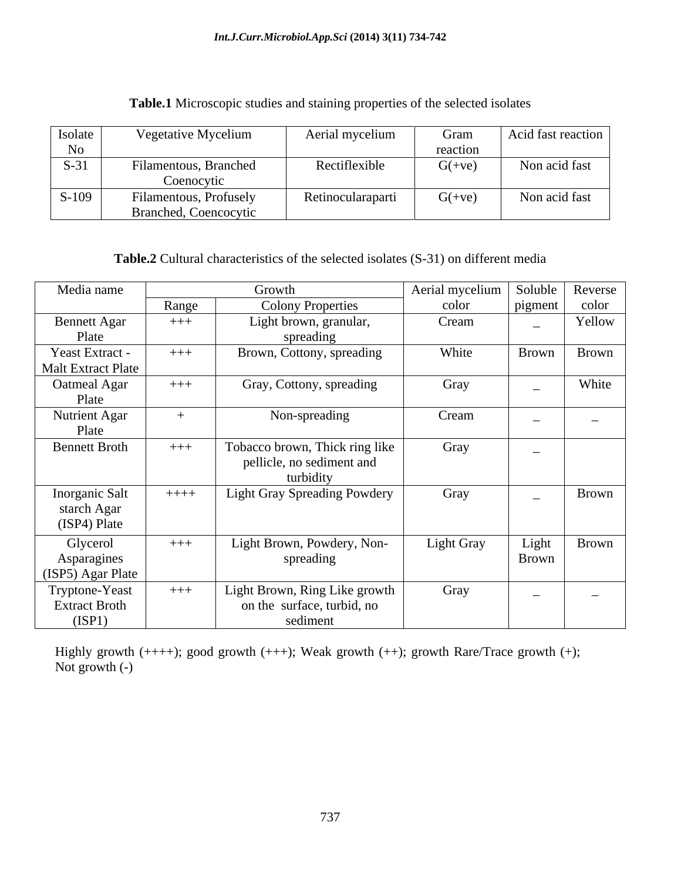| <b>Isolate</b>    | Vegetative Mycelium          | Aerial mycelium   | Gram     | Acid fast reaction |
|-------------------|------------------------------|-------------------|----------|--------------------|
|                   |                              |                   | reaction |                    |
| $\sim$ 0.1 $\sim$ | Filamentous, Branched        | Rectiflexible     | $G(+ve)$ | Non acid fast      |
|                   | Coenocytic                   |                   |          |                    |
| $S-109$           | Filamentous, Profusely       | Retinocularaparti | $G(+ve)$ | Non acid fast      |
|                   | <b>Branched, Coencocytic</b> |                   |          |                    |

**Table.1** Microscopic studies and staining properties of the selected isolates

**Table.2** Cultural characteristics of the selected isolates (S-31) on different media

| Media name                |        | Growth                              | Aerial mycelium | Soluble   Reverse        |                          |
|---------------------------|--------|-------------------------------------|-----------------|--------------------------|--------------------------|
|                           | Range  | <b>Colony Properties</b>            | color           | pigment                  | color                    |
| <b>Bennett Agar</b>       | $+++$  | Light brown, granular,              | Cream           |                          | Yellow                   |
| Plate                     |        | spreading                           |                 |                          |                          |
| Yeast Extract -           | $+++$  | Brown, Cottony, spreading           | White           | Brown                    | Brown                    |
| <b>Malt Extract Plate</b> |        |                                     |                 |                          |                          |
| Oatmeal Agar              | $+++$  | Gray, Cottony, spreading            | Gray            |                          | White                    |
| Plate                     |        |                                     |                 |                          |                          |
| <b>Nutrient Agar</b>      |        | Non-spreading                       | Cream           |                          | $\overline{\phantom{0}}$ |
| Plate                     |        |                                     |                 |                          |                          |
| <b>Bennett Broth</b>      | $+++$  | Tobacco brown, Thick ring like      | Gray            |                          |                          |
|                           |        | pellicle, no sediment and           |                 |                          |                          |
|                           |        | turbidity                           |                 |                          |                          |
| Inorganic Salt            | $++++$ | <b>Light Gray Spreading Powdery</b> | Gray            |                          | Brown                    |
| starch Agar               |        |                                     |                 |                          |                          |
| (ISP4) Plate              |        |                                     |                 |                          |                          |
| Glycerol                  | $+++$  | Light Brown, Powdery, Non-          | Light Gray      | Light                    | Brown                    |
| Asparagines               |        | spreading                           |                 | Brown                    |                          |
| (ISP5) Agar Plate         |        |                                     |                 |                          |                          |
| Tryptone-Yeast            | $+++$  | Light Brown, Ring Like growth       | Gray            | $\overline{\phantom{0}}$ | $\overline{\phantom{0}}$ |
| <b>Extract Broth</b>      |        | on the surface, turbid, no          |                 |                          |                          |
| (ISP1)                    |        | sediment                            |                 |                          |                          |

Highly growth  $(+++)$ ; good growth  $(+++)$ ; Weak growth  $(++)$ ; growth Rare/Trace growth  $(+)$ ; Not growth (-)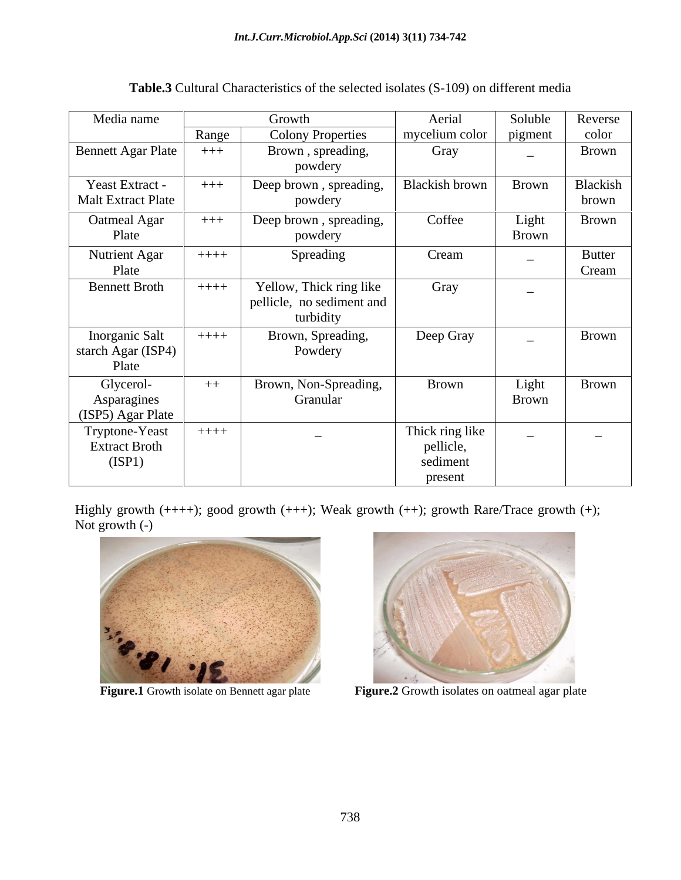| Media name                |         | Growth                    | Aerial          | Soluble                  | Reverse                  |
|---------------------------|---------|---------------------------|-----------------|--------------------------|--------------------------|
|                           | Range   | <b>Colony Properties</b>  | mycelium color  | pigment                  | color                    |
| Bennett Agar Plate        | $++++$  | Brown, spreading,         | Gray            | $\sim$                   | Brown                    |
|                           |         | powdery                   |                 |                          |                          |
| Yeast Extract -           | $+++$   | Deep brown, spreading,    | Blackish brown  | Brown                    | Blackish                 |
| <b>Malt Extract Plate</b> |         | powdery                   |                 |                          | brown                    |
| Oatmeal Agar              | $++++$  | Deep brown, spreading,    | Coffee          | Light                    | Brown                    |
| Plate                     |         | powdery                   |                 | Brown                    |                          |
| <b>Nutrient Agar</b>      | $++++-$ | Spreading                 | Cream           |                          | <b>Butter</b>            |
| Plate                     |         |                           |                 |                          | Cream                    |
| <b>Bennett Broth</b>      | $++++$  | Yellow, Thick ring like   | Gray            | $\overline{\phantom{0}}$ |                          |
|                           |         | pellicle, no sediment and |                 |                          |                          |
|                           |         | turbidity                 |                 |                          |                          |
| Inorganic Salt            | $+++++$ | Brown, Spreading,         | Deep Gray       |                          | Brown                    |
| starch Agar (ISP4)        |         | Powdery                   |                 |                          |                          |
| Plate                     |         |                           |                 |                          |                          |
| Glycerol-                 | $++$    | Brown, Non-Spreading,     | Brown           | Light                    | <b>Brown</b>             |
| Asparagines               |         | Granular                  |                 | <b>Brown</b>             |                          |
| (ISP5) Agar Plate         |         |                           |                 |                          |                          |
| Tryptone-Yeast            | $++++-$ | $\sim$                    | Thick ring like | $\overline{\phantom{0}}$ | $\overline{\phantom{0}}$ |
| <b>Extract Broth</b>      |         |                           | pellicle,       |                          |                          |
| (ISP1)                    |         |                           | sediment        |                          |                          |
|                           |         |                           | present         |                          |                          |

**Table.3** Cultural Characteristics of the selected isolates (S-109) on different media

Highly growth  $(++)$ ; good growth  $(++)$ ; Weak growth  $(++)$ ; growth Rare/Trace growth  $(+)$ ; Not growth  $(-)$ Not growth (-)





**Figure.1** Growth isolate on Bennett agar plate **Figure.2** Growth isolates on oatmeal agar plate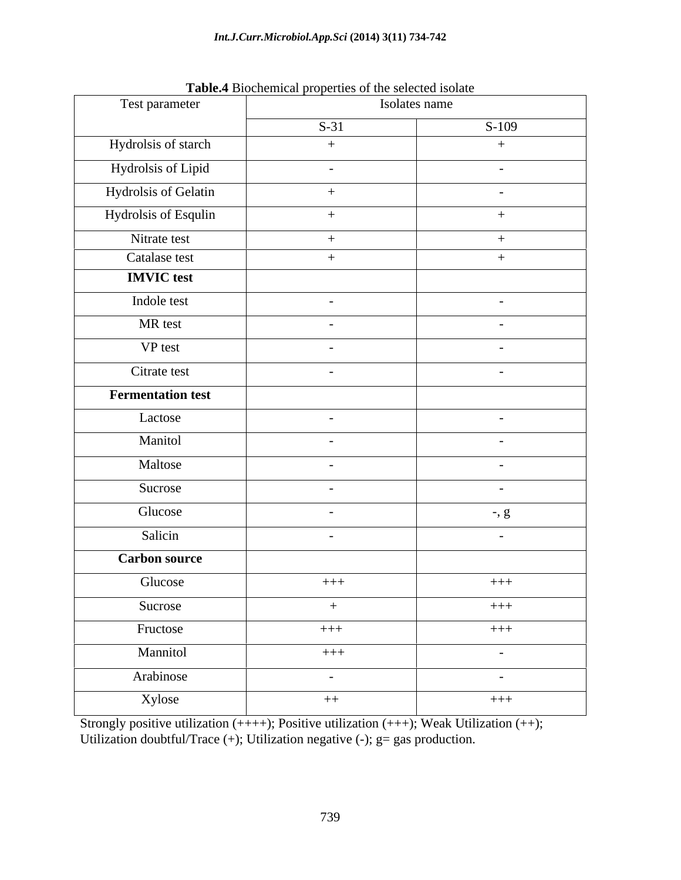| Test parameter           | Tubier Bioenemeur properties of the sereoted horate<br>Isolates name |           |  |  |
|--------------------------|----------------------------------------------------------------------|-----------|--|--|
|                          | $S-31$                                                               | $S-109$   |  |  |
| Hydrolsis of starch      | $+$                                                                  | $+$       |  |  |
| Hydrolsis of Lipid       | $\sim$                                                               | $\sim$    |  |  |
| Hydrolsis of Gelatin     | $+$                                                                  | $-$       |  |  |
| Hydrolsis of Esqulin     | $+$                                                                  | $+$       |  |  |
| Nitrate test             | $+$                                                                  | $+$       |  |  |
| Catalase test            | $+$                                                                  | $+$       |  |  |
| <b>IMVIC</b> test        |                                                                      |           |  |  |
| Indole test              | $\sim$ $-$                                                           | $\sim$    |  |  |
| MR test                  | $\sim$                                                               | $\sim$    |  |  |
| VP test                  | $\sim$                                                               | $\sim$    |  |  |
| Citrate test             | $\sim$                                                               | $\sim$    |  |  |
| <b>Fermentation test</b> |                                                                      |           |  |  |
| Lactose                  | $\sim$                                                               | $\sim$    |  |  |
| Manitol                  | $\sim$                                                               | $\sim$    |  |  |
| Maltose                  | $\sim$                                                               | $\sim$    |  |  |
| Sucrose                  | $\sim$                                                               | $\sim$    |  |  |
| Glucose                  | $\sim$                                                               | $-$ , $g$ |  |  |
| Salicin                  | $\sim$                                                               | $\sim$    |  |  |
| <b>Carbon source</b>     |                                                                      |           |  |  |
| Glucose                  | $+++$                                                                | $+++$     |  |  |
| Sucrose                  | $+$                                                                  | $+++$     |  |  |
| Fructose                 | $+++$                                                                | $+++$     |  |  |
| Mannitol                 | $+++$                                                                | $\sim$    |  |  |
| Arabinose                | $\sim$ $-$                                                           | $\sim$    |  |  |
| Xylose                   | $++$                                                                 | $+++$     |  |  |
|                          |                                                                      |           |  |  |

**Table.4** Biochemical properties of the selected isolate

Strongly positive utilization (++++); Positive utilization (+++); Weak Utilization (++); Utilization doubtful/Trace  $(+)$ ; Utilization negative  $(-)$ ; g= gas production.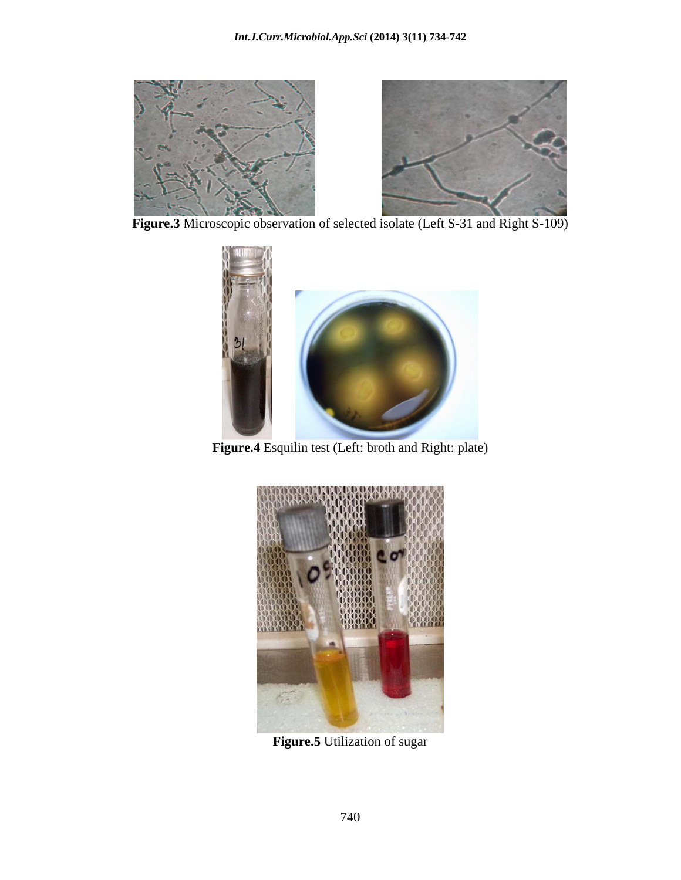

 **Figure.3** Microscopic observation of selected isolate (Left S-31 and Right S-109)



**Figure.4** Esquilin test (Left: broth and Right: plate)



**Figure.5** Utilization of sugar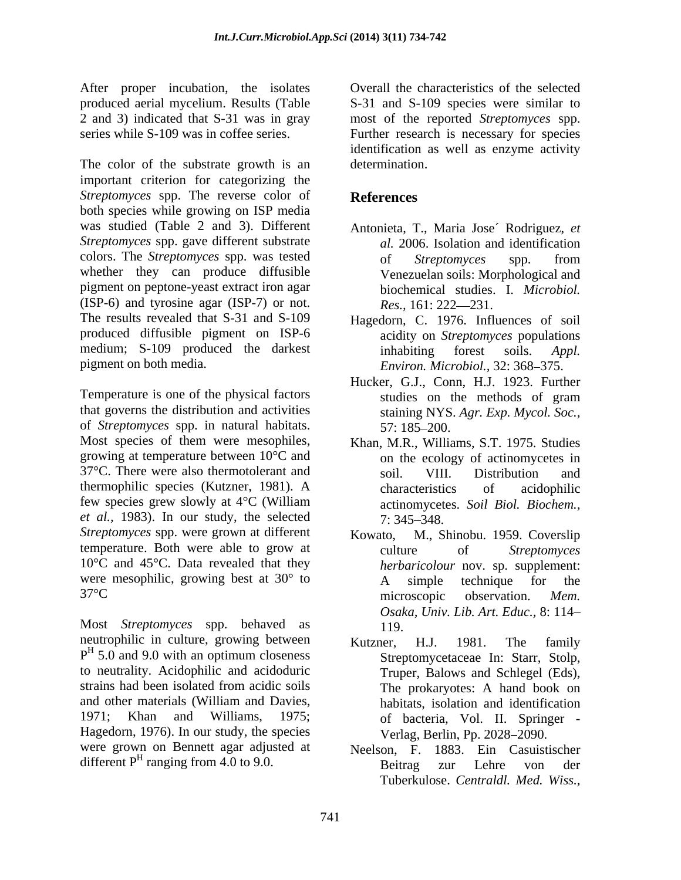After proper incubation, the isolates produced aerial mycelium. Results (Table S-31 and S-109 species were similar to 2 and 3) indicated that S-31 was in gray most of the reported *Streptomyces* spp. series while S-109 was in coffee series. Further research is necessary for species

The color of the substrate growth is an determination. important criterion for categorizing the *Streptomyces* spp. The reverse color of **References** both species while growing on ISP media was studied (Table 2 and 3). Different *Streptomyces* spp. gave different substrate colors. The *Streptomyces* spp. was tested whether they can produce diffusible pigment on peptone-yeast extract iron agar biochemical studies. I. Microbiol. (ISP-6) and tyrosine agar (ISP-7) or not.  $Res., 161: 222-231.$ The results revealed that S-31 and S-109 produced diffusible pigment on ISP-6 medium; S-109 produced the darkest inhabiting forest soils. Appl.

Temperature is one of the physical factors that governs the distribution and activities of *Streptomyces* spp. in natural habitats. Most species of them were mesophiles, growing at temperature between 10°C and 37°C. There were also thermotolerant and soil. VIII. Distribution and thermophilic species (Kutzner, 1981). A few species grew slowly at 4<sup>o</sup>C (William actinomycetes, Soil Biol, Biochem... *et al.*, 1983). In our study, the selected 7: 345–348. *Streptomyces* spp. were grown at different temperature. Both were able to grow at culture of Streptomyces 10°C and 45°C. Data revealed that they were mesophilic, growing best at 30° to A simple technique for the

Most *Streptomyces* spp. behaved as neutrophilic in culture, growing between Kutzner, H.J. 1981. The family  $P<sup>H</sup>$  5.0 and 9.0 with an optimum closeness to neutrality. Acidophilic and acidoduric strains had been isolated from acidic soils The prokaryotes: A hand book on and other materials (William and Davies, 1971; Khan and Williams, 1975; of bacteria, Vol. II. Springer - Hagedorn, 1976). In our study, the species were grown on Bennett agar adjusted at Neelson, F. different  $P<sup>H</sup>$  ranging from 4.0 to 9.0. Beitrag zur Lehre von der

Overall the characteristics of the selected identification as well as enzyme activity determination.

# **References**

- Antonieta, T., Maria Jose´ Rodriguez, *et al.* 2006. Isolation and identification of *Streptomyces* spp. from Venezuelan soils: Morphological and biochemical studies. I. *Microbiol.*<br>*Res.*, 161: 222—231.
- pigment on both media.<br> *Environ. Microbiol.*, 32: 368–375. Hagedorn, C. 1976. Influences of soil acidity on *Streptomyces* populations inhabiting forest soils. *Appl.* 
	- Hucker, G.J., Conn, H.J. 1923. Further studies on the methods of gram staining NYS. *Agr. Exp. Mycol. Soc.,* 57: 185 200.
	- Khan, M.R., Williams, S.T. 1975. Studies on the ecology of actinomycetes in soil. VIII. Distribution and characteristics of acidophilic actinomycetes. *Soil Biol. Biochem.,*  $7: 345 - 348.$
- $37^{\circ}$ C microscopic observation. *Mem.* M., Shinobu. 1959. Coverslip culture of *Streptomyces herbaricolour* nov. sp. supplement: A simple technique for the microscopic observation. *Mem. Osaka, Univ. Lib. Art. Educ.,* 8: 114 119.
	- 5.0 and 9.0 with an optimum closeness Streptomycetaceae In: Starr, Stolp, Kutzner, H.J. 1981. The family Streptomycetaceae In: Starr, Stolp, Truper, Balows and Schlegel (Eds), The prokaryotes: A hand book on habitats, isolation and identification Verlag, Berlin, Pp. 2028–2090.
		- 1883. Ein Casuistischer Beitrag zur Lehre von der Tuberkulose. *Centraldl. Med. Wiss.,*